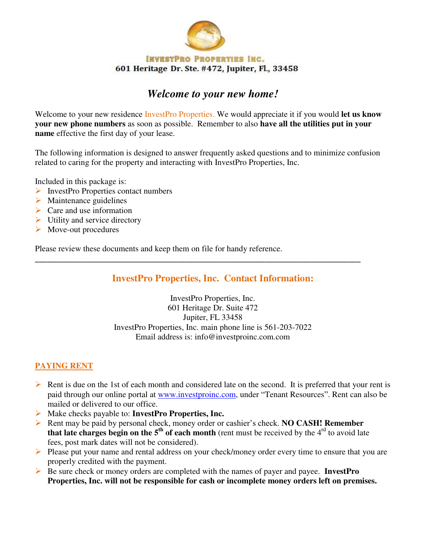

# *Welcome to your new home!*

Welcome to your new residence InvestPro Properties. We would appreciate it if you would **let us know your new phone numbers** as soon as possible. Remember to also **have all the utilities put in your name** effective the first day of your lease.

The following information is designed to answer frequently asked questions and to minimize confusion related to caring for the property and interacting with InvestPro Properties, Inc.

Included in this package is:

- $\triangleright$  InvestPro Properties contact numbers
- $\triangleright$  Maintenance guidelines
- $\triangleright$  Care and use information
- $\triangleright$  Utility and service directory
- $\triangleright$  Move-out procedures

Please review these documents and keep them on file for handy reference.

# **InvestPro Properties, Inc. Contact Information:**

**\_\_\_\_\_\_\_\_\_\_\_\_\_\_\_\_\_\_\_\_\_\_\_\_\_\_\_\_\_\_\_\_\_\_\_\_\_\_\_\_\_\_\_\_\_\_\_\_\_\_\_\_\_\_\_\_\_\_\_\_\_\_\_\_\_\_\_\_\_\_\_\_\_\_\_\_\_\_** 

InvestPro Properties, Inc. 601 Heritage Dr. Suite 472 Jupiter, FL 33458 InvestPro Properties, Inc. main phone line is 561-203-7022 Email address is: info@investproinc.com.com

## **PAYING RENT**

- $\triangleright$  Rent is due on the 1st of each month and considered late on the second. It is preferred that your rent is paid through our online portal at [www.investproinc.com,](http://www.investproinc.com/) under "Tenant Resources". Rent can also be mailed or delivered to our office.
- Make checks payable to: **InvestPro Properties, Inc.**
- Rent may be paid by personal check, money order or cashier's check. **NO CASH! Remember that late charges begin on the**  $5<sup>th</sup>$  **of each month (rent must be received by the**  $4<sup>rd</sup>$  **to avoid late** fees, post mark dates will not be considered).
- Please put your name and rental address on your check/money order every time to ensure that you are properly credited with the payment.
- Be sure check or money orders are completed with the names of payer and payee. **InvestPro Properties, Inc. will not be responsible for cash or incomplete money orders left on premises.**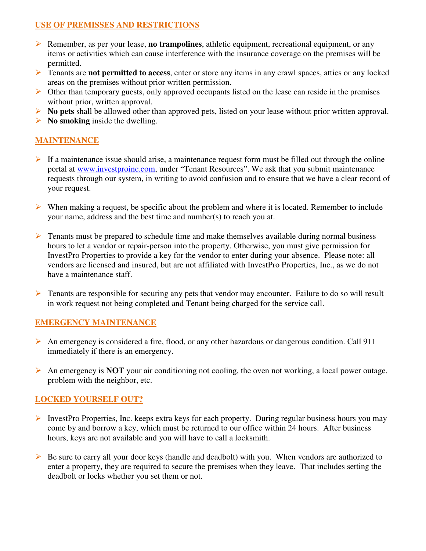# **USE OF PREMISSES AND RESTRICTIONS**

- Remember, as per your lease, **no trampolines**, athletic equipment, recreational equipment, or any items or activities which can cause interference with the insurance coverage on the premises will be permitted.
- **Tenants are not permitted to access**, enter or store any items in any crawl spaces, attics or any locked areas on the premises without prior written permission.
- $\triangleright$  Other than temporary guests, only approved occupants listed on the lease can reside in the premises without prior, written approval.
- **No pets** shall be allowed other than approved pets, listed on your lease without prior written approval.
- **No smoking** inside the dwelling.

# **MAINTENANCE**

- $\triangleright$  If a maintenance issue should arise, a maintenance request form must be filled out through the online portal at [www.investproinc.com,](http://www.investproinc.com/) under "Tenant Resources". We ask that you submit maintenance requests through our system, in writing to avoid confusion and to ensure that we have a clear record of your request.
- $\triangleright$  When making a request, be specific about the problem and where it is located. Remember to include your name, address and the best time and number(s) to reach you at.
- $\triangleright$  Tenants must be prepared to schedule time and make themselves available during normal business hours to let a vendor or repair-person into the property. Otherwise, you must give permission for InvestPro Properties to provide a key for the vendor to enter during your absence. Please note: all vendors are licensed and insured, but are not affiliated with InvestPro Properties, Inc., as we do not have a maintenance staff.
- $\triangleright$  Tenants are responsible for securing any pets that vendor may encounter. Failure to do so will result in work request not being completed and Tenant being charged for the service call.

## **EMERGENCY MAINTENANCE**

- $\triangleright$  An emergency is considered a fire, flood, or any other hazardous or dangerous condition. Call 911 immediately if there is an emergency.
- An emergency is **NOT** your air conditioning not cooling, the oven not working, a local power outage, problem with the neighbor, etc.

## **LOCKED YOURSELF OUT?**

- InvestPro Properties, Inc. keeps extra keys for each property. During regular business hours you may come by and borrow a key, which must be returned to our office within 24 hours. After business hours, keys are not available and you will have to call a locksmith.
- $\triangleright$  Be sure to carry all your door keys (handle and deadbolt) with you. When vendors are authorized to enter a property, they are required to secure the premises when they leave. That includes setting the deadbolt or locks whether you set them or not.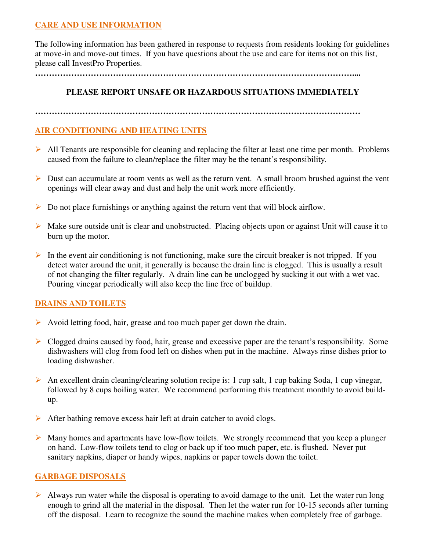# **CARE AND USE INFORMATION**

The following information has been gathered in response to requests from residents looking for guidelines at move-in and move-out times. If you have questions about the use and care for items not on this list, please call InvestPro Properties.

**……………………………………………………………………………………………………....**

# **PLEASE REPORT UNSAFE OR HAZARDOUS SITUATIONS IMMEDIATELY**

**………………………………………………………………………………………………………**

# **AIR CONDITIONING AND HEATING UNITS**

- $\triangleright$  All Tenants are responsible for cleaning and replacing the filter at least one time per month. Problems caused from the failure to clean/replace the filter may be the tenant's responsibility.
- Dust can accumulate at room vents as well as the return vent. A small broom brushed against the vent openings will clear away and dust and help the unit work more efficiently.
- $\triangleright$  Do not place furnishings or anything against the return vent that will block airflow.
- $\triangleright$  Make sure outside unit is clear and unobstructed. Placing objects upon or against Unit will cause it to burn up the motor.
- In the event air conditioning is not functioning, make sure the circuit breaker is not tripped. If you detect water around the unit, it generally is because the drain line is clogged. This is usually a result of not changing the filter regularly. A drain line can be unclogged by sucking it out with a wet vac. Pouring vinegar periodically will also keep the line free of buildup.

# **DRAINS AND TOILETS**

- Avoid letting food, hair, grease and too much paper get down the drain.
- $\triangleright$  Clogged drains caused by food, hair, grease and excessive paper are the tenant's responsibility. Some dishwashers will clog from food left on dishes when put in the machine. Always rinse dishes prior to loading dishwasher.
- An excellent drain cleaning/clearing solution recipe is: 1 cup salt, 1 cup baking Soda, 1 cup vinegar, followed by 8 cups boiling water. We recommend performing this treatment monthly to avoid buildup.
- After bathing remove excess hair left at drain catcher to avoid clogs.
- $\triangleright$  Many homes and apartments have low-flow toilets. We strongly recommend that you keep a plunger on hand. Low-flow toilets tend to clog or back up if too much paper, etc. is flushed. Never put sanitary napkins, diaper or handy wipes, napkins or paper towels down the toilet.

## **GARBAGE DISPOSALS**

Always run water while the disposal is operating to avoid damage to the unit. Let the water run long enough to grind all the material in the disposal. Then let the water run for 10-15 seconds after turning off the disposal. Learn to recognize the sound the machine makes when completely free of garbage.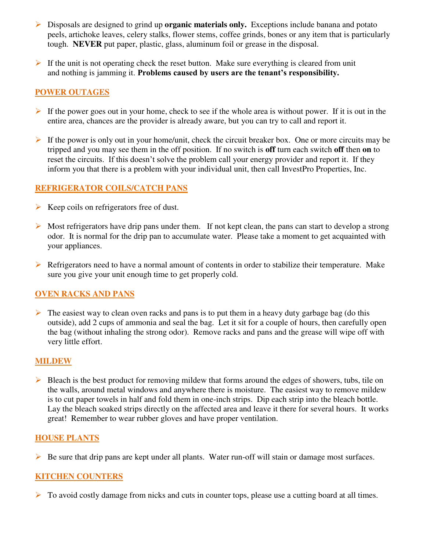- Disposals are designed to grind up **organic materials only.** Exceptions include banana and potato peels, artichoke leaves, celery stalks, flower stems, coffee grinds, bones or any item that is particularly tough. **NEVER** put paper, plastic, glass, aluminum foil or grease in the disposal.
- If the unit is not operating check the reset button. Make sure everything is cleared from unit and nothing is jamming it. **Problems caused by users are the tenant's responsibility.**

# **POWER OUTAGES**

- If the power goes out in your home, check to see if the whole area is without power. If it is out in the entire area, chances are the provider is already aware, but you can try to call and report it.
- If the power is only out in your home/unit, check the circuit breaker box. One or more circuits may be tripped and you may see them in the off position. If no switch is **off** turn each switch **off** then **on** to reset the circuits. If this doesn't solve the problem call your energy provider and report it. If they inform you that there is a problem with your individual unit, then call InvestPro Properties, Inc.

# **REFRIGERATOR COILS/CATCH PANS**

- $\triangleright$  Keep coils on refrigerators free of dust.
- $\triangleright$  Most refrigerators have drip pans under them. If not kept clean, the pans can start to develop a strong odor. It is normal for the drip pan to accumulate water. Please take a moment to get acquainted with your appliances.
- $\triangleright$  Refrigerators need to have a normal amount of contents in order to stabilize their temperature. Make sure you give your unit enough time to get properly cold.

# **OVEN RACKS AND PANS**

 $\triangleright$  The easiest way to clean oven racks and pans is to put them in a heavy duty garbage bag (do this outside), add 2 cups of ammonia and seal the bag. Let it sit for a couple of hours, then carefully open the bag (without inhaling the strong odor). Remove racks and pans and the grease will wipe off with very little effort.

## **MILDEW**

 $\triangleright$  Bleach is the best product for removing mildew that forms around the edges of showers, tubs, tile on the walls, around metal windows and anywhere there is moisture. The easiest way to remove mildew is to cut paper towels in half and fold them in one-inch strips. Dip each strip into the bleach bottle. Lay the bleach soaked strips directly on the affected area and leave it there for several hours. It works great! Remember to wear rubber gloves and have proper ventilation.

## **HOUSE PLANTS**

 $\triangleright$  Be sure that drip pans are kept under all plants. Water run-off will stain or damage most surfaces.

# **KITCHEN COUNTERS**

 $\triangleright$  To avoid costly damage from nicks and cuts in counter tops, please use a cutting board at all times.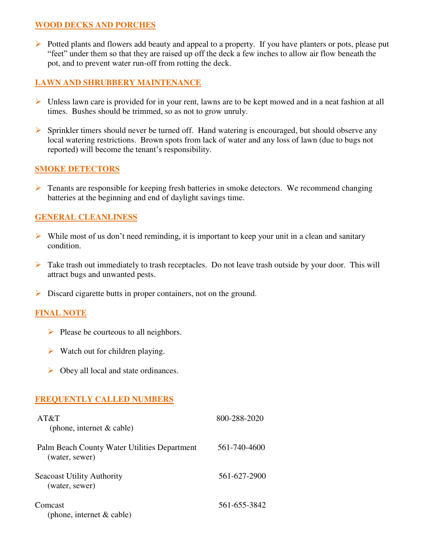## **WOOD DECKS AND PORCHES**

Potted plants and flowers add beauty and appeal to a property. If you have planters or pots, please put "feet" under them so that they are raised up off the deck a few inches to allow air flow beneath the pot, and to prevent water run-off from rotting the deck.

# **LAWN AND SHRUBBERY MAINTENANCE**

- $\triangleright$  Unless lawn care is provided for in your rent, lawns are to be kept mowed and in a neat fashion at all times. Bushes should be trimmed, so as not to grow unruly.
- $\triangleright$  Sprinkler timers should never be turned off. Hand watering is encouraged, but should observe any local watering restrictions. Brown spots from lack of water and any loss of lawn (due to bugs not reported) will become the tenant's responsibility.

## **SMOKE DETECTORS**

 $\triangleright$  Tenants are responsible for keeping fresh batteries in smoke detectors. We recommend changing batteries at the beginning and end of daylight savings time.

# **GENERAL CLEANLINESS**

- $\triangleright$  While most of us don't need reminding, it is important to keep your unit in a clean and sanitary condition.
- $\triangleright$  Take trash out immediately to trash receptacles. Do not leave trash outside by your door. This will attract bugs and unwanted pests.
- Discard cigarette butts in proper containers, not on the ground.

## **FINAL NOTE**

- $\triangleright$  Please be courteous to all neighbors.
- $\triangleright$  Watch out for children playing.
- $\triangleright$  Obey all local and state ordinances.

## **FREQUENTLY CALLED NUMBERS**

| AT&T<br>(phone, internet $& cable$ )                           | 800-288-2020 |
|----------------------------------------------------------------|--------------|
| Palm Beach County Water Utilities Department<br>(water, sewer) | 561-740-4600 |
| <b>Seacoast Utility Authority</b><br>(water, sewer)            | 561-627-2900 |
| Comcast<br>(phone, internet $& cable)$                         | 561-655-3842 |